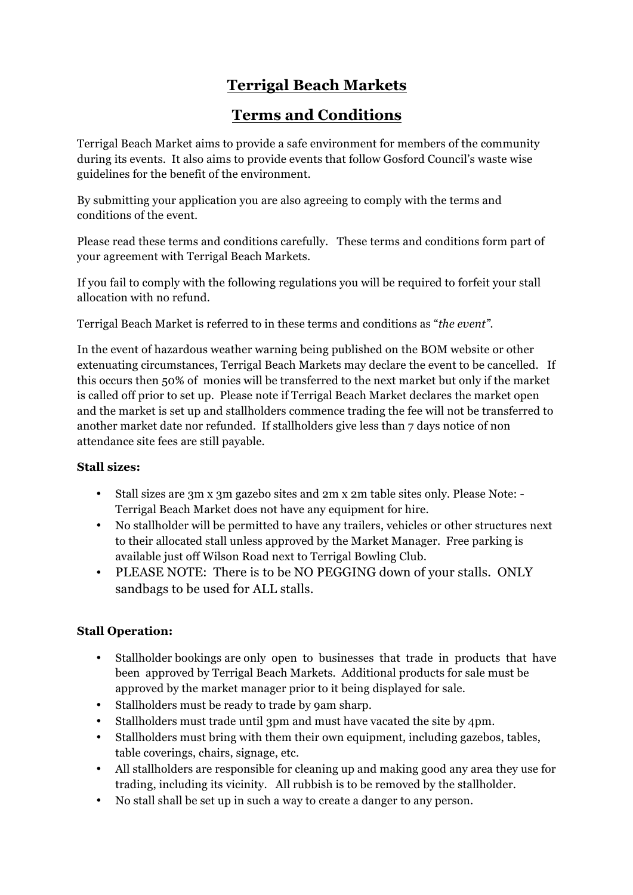# **Terrigal Beach Markets**

## **Terms and Conditions**

Terrigal Beach Market aims to provide a safe environment for members of the community during its events. It also aims to provide events that follow Gosford Council's waste wise guidelines for the benefit of the environment.

By submitting your application you are also agreeing to comply with the terms and conditions of the event.

Please read these terms and conditions carefully. These terms and conditions form part of your agreement with Terrigal Beach Markets.

If you fail to comply with the following regulations you will be required to forfeit your stall allocation with no refund.

Terrigal Beach Market is referred to in these terms and conditions as "*the event".*

In the event of hazardous weather warning being published on the BOM website or other extenuating circumstances, Terrigal Beach Markets may declare the event to be cancelled. If this occurs then 50% of monies will be transferred to the next market but only if the market is called off prior to set up. Please note if Terrigal Beach Market declares the market open and the market is set up and stallholders commence trading the fee will not be transferred to another market date nor refunded. If stallholders give less than 7 days notice of non attendance site fees are still payable.

## **Stall sizes:**

- Stall sizes are 3m x 3m gazebo sites and 2m x 2m table sites only. Please Note: Terrigal Beach Market does not have any equipment for hire.
- No stallholder will be permitted to have any trailers, vehicles or other structures next to their allocated stall unless approved by the Market Manager. Free parking is available just off Wilson Road next to Terrigal Bowling Club.
- PLEASE NOTE: There is to be NO PEGGING down of your stalls. ONLY sandbags to be used for ALL stalls.

## **Stall Operation:**

- Stallholder bookings are only open to businesses that trade in products that have been approved by Terrigal Beach Markets. Additional products for sale must be approved by the market manager prior to it being displayed for sale.
- Stallholders must be ready to trade by 9am sharp.
- Stallholders must trade until 3pm and must have vacated the site by 4pm.
- Stallholders must bring with them their own equipment, including gazebos, tables, table coverings, chairs, signage, etc.
- All stallholders are responsible for cleaning up and making good any area they use for trading, including its vicinity. All rubbish is to be removed by the stallholder.
- No stall shall be set up in such a way to create a danger to any person.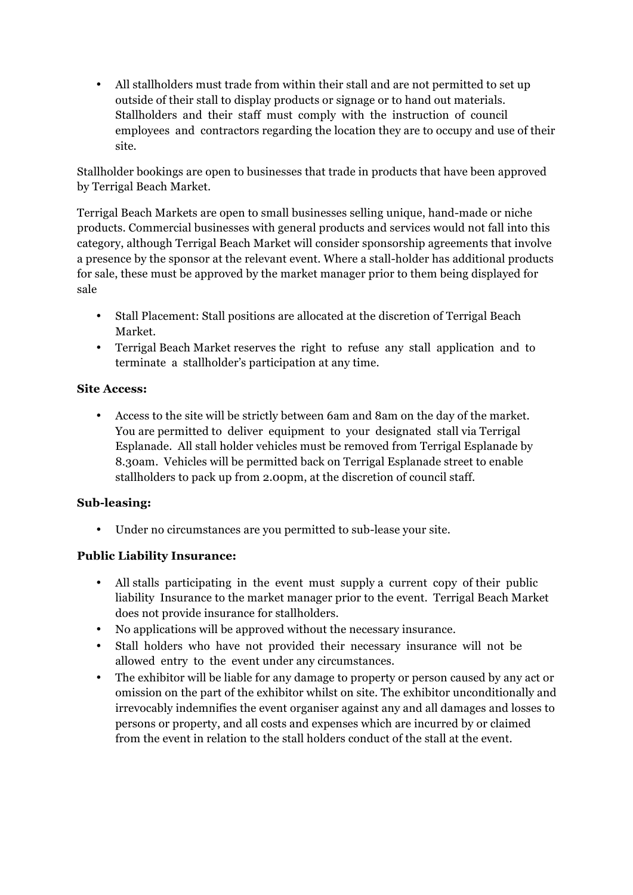• All stallholders must trade from within their stall and are not permitted to set up outside of their stall to display products or signage or to hand out materials. Stallholders and their staff must comply with the instruction of council employees and contractors regarding the location they are to occupy and use of their site.

Stallholder bookings are open to businesses that trade in products that have been approved by Terrigal Beach Market.

Terrigal Beach Markets are open to small businesses selling unique, hand-made or niche products. Commercial businesses with general products and services would not fall into this category, although Terrigal Beach Market will consider sponsorship agreements that involve a presence by the sponsor at the relevant event. Where a stall-holder has additional products for sale, these must be approved by the market manager prior to them being displayed for sale

- Stall Placement: Stall positions are allocated at the discretion of Terrigal Beach Market.
- Terrigal Beach Market reserves the right to refuse any stall application and to terminate a stallholder's participation at any time.

#### **Site Access:**

• Access to the site will be strictly between 6am and 8am on the day of the market. You are permitted to deliver equipment to your designated stall via Terrigal Esplanade. All stall holder vehicles must be removed from Terrigal Esplanade by 8.30am. Vehicles will be permitted back on Terrigal Esplanade street to enable stallholders to pack up from 2.00pm, at the discretion of council staff.

#### **Sub-leasing:**

• Under no circumstances are you permitted to sub-lease your site.

#### **Public Liability Insurance:**

- All stalls participating in the event must supply a current copy of their public liability Insurance to the market manager prior to the event. Terrigal Beach Market does not provide insurance for stallholders.
- No applications will be approved without the necessary insurance.
- Stall holders who have not provided their necessary insurance will not be allowed entry to the event under any circumstances.
- The exhibitor will be liable for any damage to property or person caused by any act or omission on the part of the exhibitor whilst on site. The exhibitor unconditionally and irrevocably indemnifies the event organiser against any and all damages and losses to persons or property, and all costs and expenses which are incurred by or claimed from the event in relation to the stall holders conduct of the stall at the event.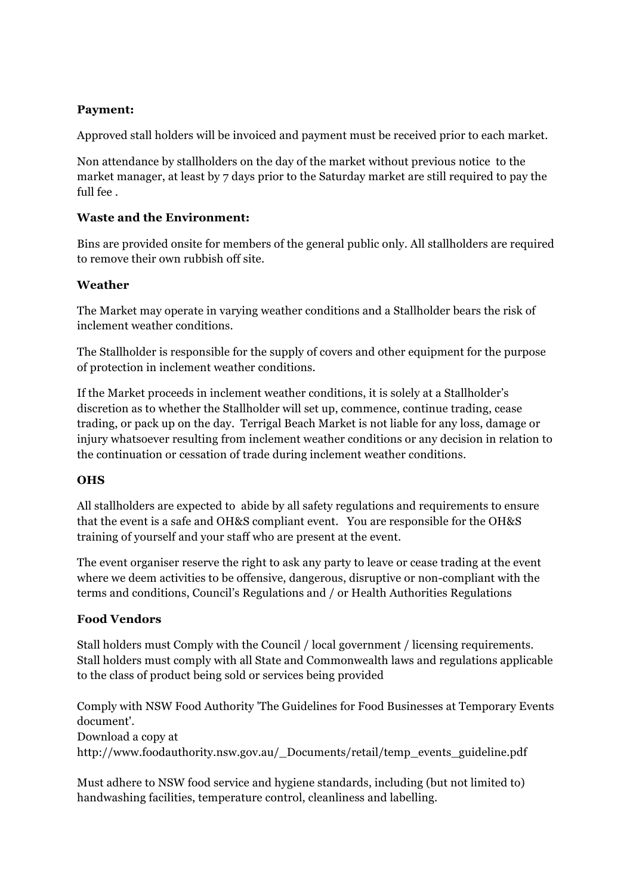#### **Payment:**

Approved stall holders will be invoiced and payment must be received prior to each market.

Non attendance by stallholders on the day of the market without previous notice to the market manager, at least by 7 days prior to the Saturday market are still required to pay the full fee .

#### **Waste and the Environment:**

Bins are provided onsite for members of the general public only. All stallholders are required to remove their own rubbish off site.

#### **Weather**

The Market may operate in varying weather conditions and a Stallholder bears the risk of inclement weather conditions.

The Stallholder is responsible for the supply of covers and other equipment for the purpose of protection in inclement weather conditions.

If the Market proceeds in inclement weather conditions, it is solely at a Stallholder's discretion as to whether the Stallholder will set up, commence, continue trading, cease trading, or pack up on the day. Terrigal Beach Market is not liable for any loss, damage or injury whatsoever resulting from inclement weather conditions or any decision in relation to the continuation or cessation of trade during inclement weather conditions.

#### **OHS**

All stallholders are expected to abide by all safety regulations and requirements to ensure that the event is a safe and OH&S compliant event. You are responsible for the OH&S training of yourself and your staff who are present at the event.

The event organiser reserve the right to ask any party to leave or cease trading at the event where we deem activities to be offensive, dangerous, disruptive or non-compliant with the terms and conditions, Council's Regulations and / or Health Authorities Regulations

#### **Food Vendors**

Stall holders must Comply with the Council / local government / licensing requirements. Stall holders must comply with all State and Commonwealth laws and regulations applicable to the class of product being sold or services being provided

Comply with NSW Food Authority 'The Guidelines for Food Businesses at Temporary Events document'.

Download a copy at

http://www.foodauthority.nsw.gov.au/\_Documents/retail/temp\_events\_guideline.pdf

Must adhere to NSW food service and hygiene standards, including (but not limited to) handwashing facilities, temperature control, cleanliness and labelling.